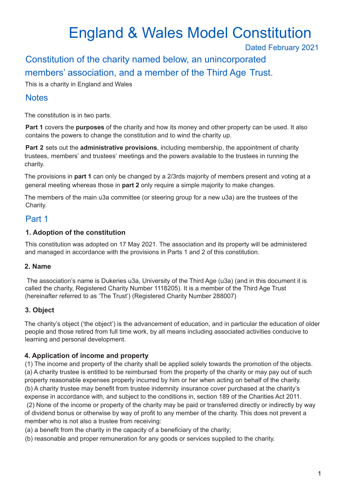# England & Wales Model Constitution

Dated February 2021

Constitution of the charity named below, an unincorporated members' association, and a member of the Third Age Trust.

This is a charity in England and Wales

# **Notes**

The constitution is in two parts.

**Part 1** covers the **purposes** of the charity and how its money and other property can be used. It also contains the powers to change the constitution and to wind the charity up.

**Part 2** sets out the **administrative provisions**, including membership, the appointment of charity trustees, members' and trustees' meetings and the powers available to the trustees in running the charity.

The provisions in **part 1** can only be changed by a 2/3rds majority of members present and voting at a general meeting whereas those in **part 2** only require a simple majority to make changes.

The members of the main u3a committee (or steering group for a new u3a) are the trustees of the Charity.

# Part 1

#### **1. Adoption of the constitution**

This constitution was adopted on 17 May 2021. The association and its property will be administered and managed in accordance with the provisions in Parts 1 and 2 of this constitution.

#### **2. Name**

The association's name is Dukeries u3a, University of the Third Age (u3a) (and in this document it is called the charity, Registered Charity Number 1118205). It is a member of the Third Age Trust (hereinafter referred to as 'The Trust') (Registered Charity Number 288007)

## **3. Object**

The charity's object ('the object') is the advancement of education, and in particular the education of older people and those retired from full time work, by all means including associated activities conducive to learning and personal development.

## **4. Application of income and property**

(1) The income and property of the charity shall be applied solely towards the promotion of the objects. (a) A charity trustee is entitled to be reimbursed from the property of the charity or may pay out of such property reasonable expenses properly incurred by him or her when acting on behalf of the charity. (b) A charity trustee may benefit from trustee indemnity insurance cover purchased at the charity's expense in accordance with, and subject to the conditions in, section 189 of the Charities Act 2011.

(2) None of the income or property of the charity may be paid or transferred directly or indirectly by way of dividend bonus or otherwise by way of profit to any member of the charity. This does not prevent a member who is not also a trustee from receiving:

(a) a benefit from the charity in the capacity of a beneficiary of the charity;

(b) reasonable and proper remuneration for any goods or services supplied to the charity.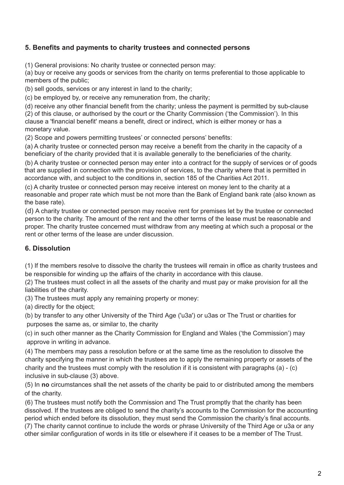## **5. Benefits and payments to charity trustees and connected persons**

(1) General provisions: No charity trustee or connected person may:

(a) buy or receive any goods or services from the charity on terms preferential to those applicable to members of the public;

(b) sell goods, services or any interest in land to the charity;

(c) be employed by, or receive any remuneration from, the charity;

(d) receive any other financial benefit from the charity; unless the payment is permitted by sub-clause (2) of this clause, or authorised by the court or the Charity Commission ('the Commission'). In this clause a 'financial benefit' means a benefit, direct or indirect, which is either money or has a monetary value.

(2) Scope and powers permitting trustees' or connected persons' benefits:

(a) A charity trustee or connected person may receive a benefit from the charity in the capacity of a beneficiary of the charity provided that it is available generally to the beneficiaries of the charity.

(b) A charity trustee or connected person may enter into a contract for the supply of services or of goods that are supplied in connection with the provision of services, to the charity where that is permitted in accordance with, and subject to the conditions in, section 185 of the Charities Act 2011.

(c) A charity trustee or connected person may receive interest on money lent to the charity at a reasonable and proper rate which must be not more than the Bank of England bank rate (also known as the base rate).

(d) A charity trustee or connected person may receive rent for premises let by the trustee or connected person to the charity. The amount of the rent and the other terms of the lease must be reasonable and proper. The charity trustee concerned must withdraw from any meeting at which such a proposal or the rent or other terms of the lease are under discussion.

## **6. Dissolution**

(1) If the members resolve to dissolve the charity the trustees will remain in office as charity trustees and be responsible for winding up the affairs of the charity in accordance with this clause.

(2) The trustees must collect in all the assets of the charity and must pay or make provision for all the liabilities of the charity.

(3) The trustees must apply any remaining property or money:

(a) directly for the object;

(b) by transfer to any other University of the Third Age ('u3a') or u3as or The Trust or charities for purposes the same as, or similar to, the charity

(c) in such other manner as the Charity Commission for England and Wales ('the Commission') may approve in writing in advance.

(4) The members may pass a resolution before or at the same time as the resolution to dissolve the charity specifying the manner in which the trustees are to apply the remaining property or assets of the charity and the trustees must comply with the resolution if it is consistent with paragraphs (a) - (c) inclusive in sub-clause (3) above.

(5) In **no** circumstances shall the net assets of the charity be paid to or distributed among the members of the charity.

(6) The trustees must notify both the Commission and The Trust promptly that the charity has been dissolved. If the trustees are obliged to send the charity's accounts to the Commission for the accounting period which ended before its dissolution, they must send the Commission the charity's final accounts.

(7) The charity cannot continue to include the words or phrase University of the Third Age or u3a or any other similar configuration of words in its title or elsewhere if it ceases to be a member of The Trust.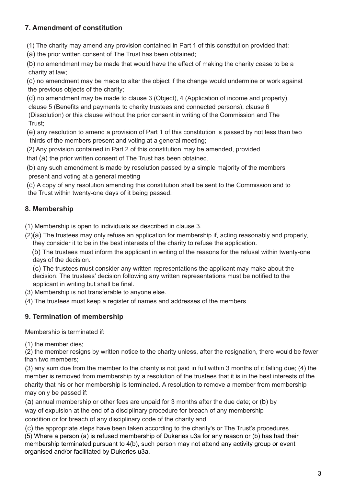# **7. Amendment of constitution**

(1) The charity may amend any provision contained in Part 1 of this constitution provided that:

(a) the prior written consent of The Trust has been obtained;

(b) no amendment may be made that would have the effect of making the charity cease to be a charity at law;

(c) no amendment may be made to alter the object if the change would undermine or work against the previous objects of the charity;

(d) no amendment may be made to clause 3 (Object), 4 (Application of income and property), clause 5 (Benefits and payments to charity trustees and connected persons), clause 6

(Dissolution) or this clause without the prior consent in writing of the Commission and The Trust;

(e) any resolution to amend a provision of Part 1 of this constitution is passed by not less than two thirds of the members present and voting at a general meeting;

(2) Any provision contained in Part 2 of this constitution may be amended, provided

that (a) the prior written consent of The Trust has been obtained,

(b) any such amendment is made by resolution passed by a simple majority of the members present and voting at a general meeting

(c) A copy of any resolution amending this constitution shall be sent to the Commission and to the Trust within twenty-one days of it being passed.

# **8. Membership**

(1) Membership is open to individuals as described in clause 3.

(2)(a) The trustees may only refuse an application for membership if, acting reasonably and properly, they consider it to be in the best interests of the charity to refuse the application.

(b) The trustees must inform the applicant in writing of the reasons for the refusal within twenty-one days of the decision.

(c) The trustees must consider any written representations the applicant may make about the decision. The trustees' decision following any written representations must be notified to the applicant in writing but shall be final.

(3) Membership is not transferable to anyone else.

(4) The trustees must keep a register of names and addresses of the members

## **9. Termination of membership**

Membership is terminated if:

(1) the member dies;

(2) the member resigns by written notice to the charity unless, after the resignation, there would be fewer than two members;

(3) any sum due from the member to the charity is not paid in full within 3 months of it falling due; (4) the member is removed from membership by a resolution of the trustees that it is in the best interests of the charity that his or her membership is terminated. A resolution to remove a member from membership may only be passed if:

(a) annual membership or other fees are unpaid for 3 months after the due date; or (b) by way of expulsion at the end of a disciplinary procedure for breach of any membership condition or for breach of any disciplinary code of the charity and

(c) the appropriate steps have been taken according to the charity's or The Trust's procedures.

(5) Where a person (a) is refused membership of Dukeries u3a for any reason or (b) has had their membership terminated pursuant to 4(b), such person may not attend any activity group or event organised and/or facilitated by Dukeries u3a.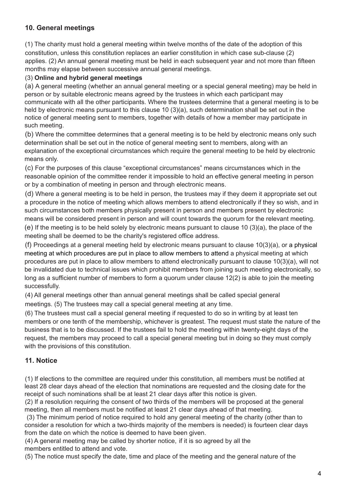# **10. General meetings**

(1) The charity must hold a general meeting within twelve months of the date of the adoption of this constitution, unless this constitution replaces an earlier constitution in which case sub-clause (2) applies. (2) An annual general meeting must be held in each subsequent year and not more than fifteen months may elapse between successive annual general meetings.

#### (3) **Online and hybrid general meetings**

(a) A general meeting (whether an annual general meeting or a special general meeting) may be held in person or by suitable electronic means agreed by the trustees in which each participant may communicate with all the other participants. Where the trustees determine that a general meeting is to be held by electronic means pursuant to this clause 10 (3)(a), such determination shall be set out in the notice of general meeting sent to members, together with details of how a member may participate in such meeting.

(b) Where the committee determines that a general meeting is to be held by electronic means only such determination shall be set out in the notice of general meeting sent to members, along with an explanation of the exceptional circumstances which require the general meeting to be held by electronic means only.

(c) For the purposes of this clause "exceptional circumstances" means circumstances which in the reasonable opinion of the committee render it impossible to hold an effective general meeting in person or by a combination of meeting in person and through electronic means.

(d) Where a general meeting is to be held in person, the trustees may if they deem it appropriate set out a procedure in the notice of meeting which allows members to attend electronically if they so wish, and in such circumstances both members physically present in person and members present by electronic means will be considered present in person and will count towards the quorum for the relevant meeting. (e) If the meeting is to be held solely by electronic means pursuant to clause 10 (3)(a), the place of the meeting shall be deemed to be the charity's registered office address.

(f) Proceedings at a general meeting held by electronic means pursuant to clause 10(3)(a), or a physical meeting at which procedures are put in place to allow members to attend a physical meeting at which procedures are put in place to allow members to attend electronically pursuant to clause 10(3)(a), will not be invalidated due to technical issues which prohibit members from joining such meeting electronically, so long as a sufficient number of members to form a quorum under clause 12(2) is able to join the meeting successfully.

(4) All general meetings other than annual general meetings shall be called special general meetings. (5) The trustees may call a special general meeting at any time.

(6) The trustees must call a special general meeting if requested to do so in writing by at least ten members or one tenth of the membership, whichever is greatest. The request must state the nature of the business that is to be discussed. If the trustees fail to hold the meeting within twenty-eight days of the request, the members may proceed to call a special general meeting but in doing so they must comply with the provisions of this constitution.

#### **11. Notice**

(1) If elections to the committee are required under this constitution, all members must be notified at least 28 clear days ahead of the election that nominations are requested and the closing date for the receipt of such nominations shall be at least 21 clear days after this notice is given.

(2) If a resolution requiring the consent of two thirds of the members will be proposed at the general meeting, then all members must be notified at least 21 clear days ahead of that meeting.

(3) The minimum period of notice required to hold any general meeting of the charity (other than to consider a resolution for which a two-thirds majority of the members is needed) is fourteen clear days from the date on which the notice is deemed to have been given.

(4) A general meeting may be called by shorter notice, if it is so agreed by all the members entitled to attend and vote.

(5) The notice must specify the date, time and place of the meeting and the general nature of the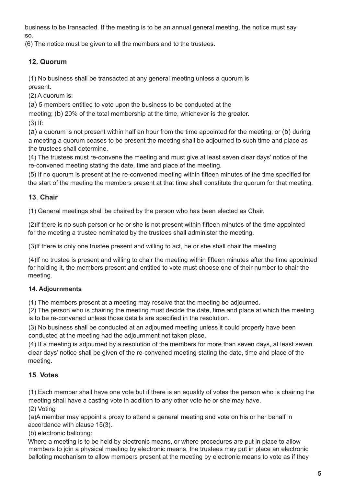business to be transacted. If the meeting is to be an annual general meeting, the notice must say so.

(6) The notice must be given to all the members and to the trustees.

# **12. Quorum**

(1) No business shall be transacted at any general meeting unless a quorum is present.

(2) A quorum is:

(a) 5 members entitled to vote upon the business to be conducted at the

meeting; (b) 20% of the total membership at the time, whichever is the greater.

(3) If:

(a) a quorum is not present within half an hour from the time appointed for the meeting; or (b) during a meeting a quorum ceases to be present the meeting shall be adjourned to such time and place as the trustees shall determine.

(4) The trustees must re-convene the meeting and must give at least seven clear days' notice of the re-convened meeting stating the date, time and place of the meeting.

(5) If no quorum is present at the re-convened meeting within fifteen minutes of the time specified for the start of the meeting the members present at that time shall constitute the quorum for that meeting.

# **13**. **Chair**

(1) General meetings shall be chaired by the person who has been elected as Chair.

(2)If there is no such person or he or she is not present within fifteen minutes of the time appointed for the meeting a trustee nominated by the trustees shall administer the meeting.

(3)If there is only one trustee present and willing to act, he or she shall chair the meeting.

(4)If no trustee is present and willing to chair the meeting within fifteen minutes after the time appointed for holding it, the members present and entitled to vote must choose one of their number to chair the meeting.

## **14. Adjournments**

(1) The members present at a meeting may resolve that the meeting be adjourned.

(2) The person who is chairing the meeting must decide the date, time and place at which the meeting is to be re-convened unless those details are specified in the resolution.

(3) No business shall be conducted at an adjourned meeting unless it could properly have been conducted at the meeting had the adjournment not taken place.

(4) If a meeting is adjourned by a resolution of the members for more than seven days, at least seven clear days' notice shall be given of the re-convened meeting stating the date, time and place of the meeting.

# **15**. **Votes**

(1) Each member shall have one vote but if there is an equality of votes the person who is chairing the meeting shall have a casting vote in addition to any other vote he or she may have.

(2) Voting

(a)A member may appoint a proxy to attend a general meeting and vote on his or her behalf in accordance with clause 15(3).

(b) electronic balloting:

Where a meeting is to be held by electronic means, or where procedures are put in place to allow members to join a physical meeting by electronic means, the trustees may put in place an electronic balloting mechanism to allow members present at the meeting by electronic means to vote as if they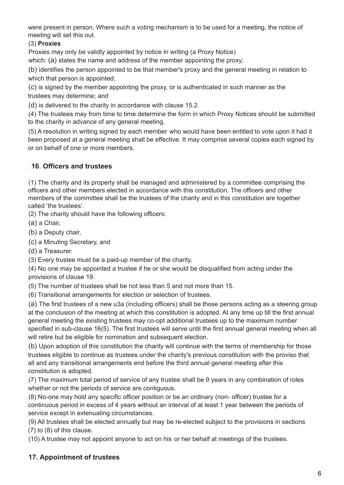were present in person. Where such a voting mechanism is to be used for a meeting, the notice of meeting will set this out.

#### (3) **Proxies**

Proxies may only be validly appointed by notice in writing (a Proxy Notice)

which: (a) states the name and address of the member appointing the proxy;

(b) identifies the person appointed to be that member's proxy and the general meeting in relation to which that person is appointed;

(c) is signed by the member appointing the proxy, or is authenticated in such manner as the trustees may determine; and

(d) is delivered to the charity in accordance with clause 15.2.

(4) The trustees may from time to time determine the form in which Proxy Notices should be submitted to the charity in advance of any general meeting.

(5) A resolution in writing signed by each member who would have been entitled to vote upon it had it been proposed at a general meeting shall be effective. It may comprise several copies each signed by or on behalf of one or more members.

## . **16**. **Officers and trustees**

(1) The charity and its property shall be managed and administered by a committee comprising the officers and other members elected in accordance with this constitution. The officers and other members of the committee shall be the trustees of the charity and in this constitution are together called 'the trustees'.

(2) The charity should have the following officers:

(a) a Chair,

(b) a Deputy chair,

(c) a Minuting Secretary, and

(d) a Treasurer.

(3) Every trustee must be a paid-up member of the charity.

(4) No one may be appointed a trustee if he or she would be disqualified from acting under the provisions of clause 19.

(5) The number of trustees shall be not less than 5 and not more than 15.

(6) Transitional arrangements for election or selection of trustees.

(a) The first trustees of a new u3a (including officers) shall be those persons acting as a steering group at the conclusion of the meeting at which this constitution is adopted. At any time up till the first annual general meeting the existing trustees may co-opt additional trustees up to the maximum number specified in sub-clause 16(5). The first trustees will serve until the first annual general meeting when all will retire but be eligible for nomination and subsequent election.

(b) Upon adoption of this constitution the charity will continue with the terms of membership for those trustees eligible to continue as trustees under the charity's previous constitution with the proviso that all and any transitional arrangements end before the third annual general meeting after this constitution is adopted.

(7) The maximum total period of service of any trustee shall be 9 years in any combination of roles whether or not the periods of service are contiguous.

(8) No-one may hold any specific officer position or be an ordinary (non- officer) trustee for a continuous period in excess of 4 years without an interval of at least 1 year between the periods of service except in extenuating circumstances.

(9) All trustees shall be elected annually but may be re-elected subject to the provisions in sections (7) to (8) of this clause.

(10) A trustee may not appoint anyone to act on his or her behalf at meetings of the trustees.

## **17. Appointment of trustees**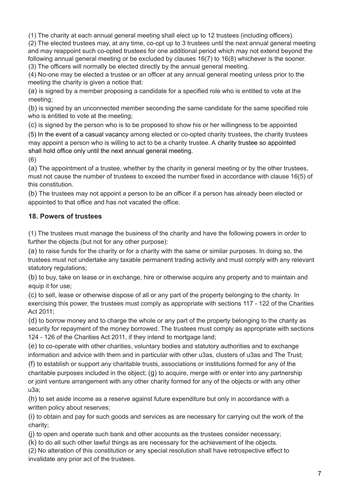(1) The charity at each annual general meeting shall elect up to 12 trustees (including officers).

(2) The elected trustees may, at any time, co-opt up to 3 trustees until the next annual general meeting and may reappoint such co-opted trustees for one additional period which may not extend beyond the following annual general meeting or be excluded by clauses 16(7) to 16(8) whichever is the sooner. (3) The officers will normally be elected directly by the annual general meeting.

(4) No-one may be elected a trustee or an officer at any annual general meeting unless prior to the meeting the charity is given a notice that:

(a) is signed by a member proposing a candidate for a specified role who is entitled to vote at the meeting;

(b) is signed by an unconnected member seconding the same candidate for the same specified role who is entitled to vote at the meeting;

(c) is signed by the person who is to be proposed to show his or her willingness to be appointed

(5) In the event of a casual vacancy among elected or co-opted charity trustees, the charity trustees may appoint a person who is willing to act to be a charity trustee. A charity trustee so appointed shall hold office only until the next annual general meeting.

(6)

(a) The appointment of a trustee, whether by the charity in general meeting or by the other trustees, must not cause the number of trustees to exceed the number fixed in accordance with clause 16(5) of this constitution.

(b) The trustees may not appoint a person to be an officer if a person has already been elected or appointed to that office and has not vacated the office.

#### **18. Powers of trustees**

(1) The trustees must manage the business of the charity and have the following powers in order to further the objects (but not for any other purpose):

(a) to raise funds for the charity or for a charity with the same or similar purposes. In doing so, the trustees must not undertake any taxable permanent trading activity and must comply with any relevant statutory regulations;

(b) to buy, take on lease or in exchange, hire or otherwise acquire any property and to maintain and equip it for use;

(c) to sell, lease or otherwise dispose of all or any part of the property belonging to the charity. In exercising this power, the trustees must comply as appropriate with sections 117 - 122 of the Charities Act 2011;

(d) to borrow money and to charge the whole or any part of the property belonging to the charity as security for repayment of the money borrowed. The trustees must comply as appropriate with sections 124 - 126 of the Charities Act 2011, if they intend to mortgage land;

(e) to co-operate with other charities, voluntary bodies and statutory authorities and to exchange information and advice with them and in particular with other u3as, clusters of u3as and The Trust;

(f) to establish or support any charitable trusts, associations or institutions formed for any of the charitable purposes included in the object; (g) to acquire, merge with or enter into any partnership or joint venture arrangement with any other charity formed for any of the objects or with any other u3a;

(h) to set aside income as a reserve against future expenditure but only in accordance with a written policy about reserves;

(i) to obtain and pay for such goods and services as are necessary for carrying out the work of the charity;

(j) to open and operate such bank and other accounts as the trustees consider necessary;

(k) to do all such other lawful things as are necessary for the achievement of the objects.

(2) No alteration of this constitution or any special resolution shall have retrospective effect to invalidate any prior act of the trustees.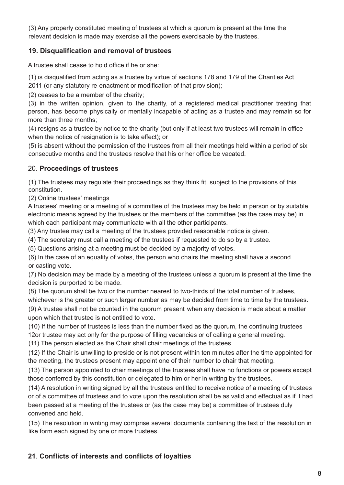(3) Any properly constituted meeting of trustees at which a quorum is present at the time the relevant decision is made may exercise all the powers exercisable by the trustees.

#### **19. Disqualification and removal of trustees**

A trustee shall cease to hold office if he or she:

(1) is disqualified from acting as a trustee by virtue of sections 178 and 179 of the Charities Act 2011 (or any statutory re-enactment or modification of that provision);

(2) ceases to be a member of the charity;

(3) in the written opinion, given to the charity, of a registered medical practitioner treating that person, has become physically or mentally incapable of acting as a trustee and may remain so for more than three months;

(4) resigns as a trustee by notice to the charity (but only if at least two trustees will remain in office when the notice of resignation is to take effect); or

(5) is absent without the permission of the trustees from all their meetings held within a period of six consecutive months and the trustees resolve that his or her office be vacated.

#### 20. **Proceedings of trustees**

(1) The trustees may regulate their proceedings as they think fit, subject to the provisions of this constitution.

(2) Online trustees' meetings

A trustees' meeting or a meeting of a committee of the trustees may be held in person or by suitable electronic means agreed by the trustees or the members of the committee (as the case may be) in which each participant may communicate with all the other participants.

(3) Any trustee may call a meeting of the trustees provided reasonable notice is given.

(4) The secretary must call a meeting of the trustees if requested to do so by a trustee.

(5) Questions arising at a meeting must be decided by a majority of votes.

(6) In the case of an equality of votes, the person who chairs the meeting shall have a second or casting vote.

(7) No decision may be made by a meeting of the trustees unless a quorum is present at the time the decision is purported to be made.

(8) The quorum shall be two or the number nearest to two-thirds of the total number of trustees,

whichever is the greater or such larger number as may be decided from time to time by the trustees. (9) A trustee shall not be counted in the quorum present when any decision is made about a matter

upon which that trustee is not entitled to vote.

(10) If the number of trustees is less than the number fixed as the quorum, the continuing trustees 12or trustee may act only for the purpose of filling vacancies or of calling a general meeting.

(11) The person elected as the Chair shall chair meetings of the trustees.

(12) If the Chair is unwilling to preside or is not present within ten minutes after the time appointed for the meeting, the trustees present may appoint one of their number to chair that meeting.

(13) The person appointed to chair meetings of the trustees shall have no functions or powers except those conferred by this constitution or delegated to him or her in writing by the trustees.

(14) A resolution in writing signed by all the trustees entitled to receive notice of a meeting of trustees or of a committee of trustees and to vote upon the resolution shall be as valid and effectual as if it had been passed at a meeting of the trustees or (as the case may be) a committee of trustees duly convened and held.

(15) The resolution in writing may comprise several documents containing the text of the resolution in like form each signed by one or more trustees.

## **21**. **Conflicts of interests and conflicts of loyalties**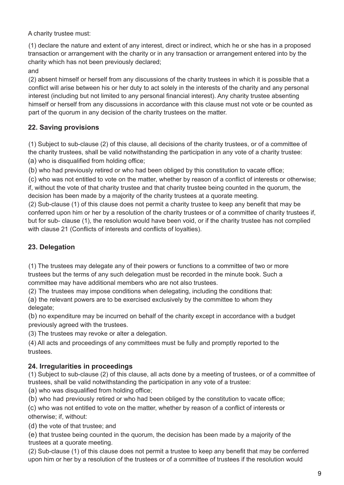A charity trustee must:

(1) declare the nature and extent of any interest, direct or indirect, which he or she has in a proposed transaction or arrangement with the charity or in any transaction or arrangement entered into by the charity which has not been previously declared;

and

(2) absent himself or herself from any discussions of the charity trustees in which it is possible that a conflict will arise between his or her duty to act solely in the interests of the charity and any personal interest (including but not limited to any personal financial interest). Any charity trustee absenting himself or herself from any discussions in accordance with this clause must not vote or be counted as part of the quorum in any decision of the charity trustees on the matter.

# **22. Saving provisions**

(1) Subject to sub-clause (2) of this clause, all decisions of the charity trustees, or of a committee of the charity trustees, shall be valid notwithstanding the participation in any vote of a charity trustee: (a) who is disqualified from holding office;

(b) who had previously retired or who had been obliged by this constitution to vacate office;

(c) who was not entitled to vote on the matter, whether by reason of a conflict of interests or otherwise; if, without the vote of that charity trustee and that charity trustee being counted in the quorum, the decision has been made by a majority of the charity trustees at a quorate meeting.

(2) Sub-clause (1) of this clause does not permit a charity trustee to keep any benefit that may be conferred upon him or her by a resolution of the charity trustees or of a committee of charity trustees if, but for sub- clause (1), the resolution would have been void, or if the charity trustee has not complied with clause 21 (Conflicts of interests and conflicts of loyalties).

# **23. Delegation**

(1) The trustees may delegate any of their powers or functions to a committee of two or more trustees but the terms of any such delegation must be recorded in the minute book. Such a committee may have additional members who are not also trustees.

(2) The trustees may impose conditions when delegating, including the conditions that:

(a) the relevant powers are to be exercised exclusively by the committee to whom they delegate;

(b) no expenditure may be incurred on behalf of the charity except in accordance with a budget previously agreed with the trustees.

(3) The trustees may revoke or alter a delegation.

(4) All acts and proceedings of any committees must be fully and promptly reported to the trustees.

## **24. Irregularities in proceedings**

(1) Subject to sub-clause (2) of this clause, all acts done by a meeting of trustees, or of a committee of trustees, shall be valid notwithstanding the participation in any vote of a trustee:

(a) who was disqualified from holding office;

(b) who had previously retired or who had been obliged by the constitution to vacate office;

(c) who was not entitled to vote on the matter, whether by reason of a conflict of interests or otherwise; if, without:

(d) the vote of that trustee; and

(e) that trustee being counted in the quorum, the decision has been made by a majority of the trustees at a quorate meeting.

(2) Sub-clause (1) of this clause does not permit a trustee to keep any benefit that may be conferred upon him or her by a resolution of the trustees or of a committee of trustees if the resolution would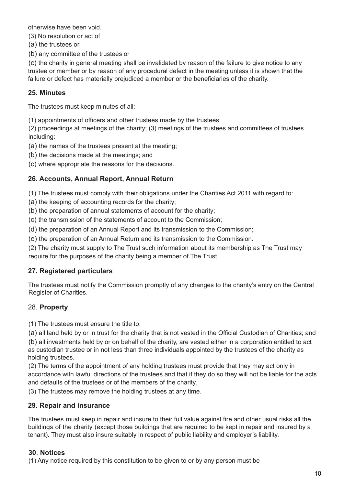otherwise have been void.

(3) No resolution or act of

(a) the trustees or

(b) any committee of the trustees or

(c) the charity in general meeting shall be invalidated by reason of the failure to give notice to any trustee or member or by reason of any procedural defect in the meeting unless it is shown that the failure or defect has materially prejudiced a member or the beneficiaries of the charity.

#### **25. Minutes**

The trustees must keep minutes of all:

(1) appointments of officers and other trustees made by the trustees;

(2) proceedings at meetings of the charity; (3) meetings of the trustees and committees of trustees including:

(a) the names of the trustees present at the meeting;

(b) the decisions made at the meetings; and

(c) where appropriate the reasons for the decisions.

#### **26. Accounts, Annual Report, Annual Return**

(1) The trustees must comply with their obligations under the Charities Act 2011 with regard to:

(a) the keeping of accounting records for the charity;

(b) the preparation of annual statements of account for the charity;

(c) the transmission of the statements of account to the Commission;

(d) the preparation of an Annual Report and its transmission to the Commission;

(e) the preparation of an Annual Return and its transmission to the Commission.

(2) The charity must supply to The Trust such information about its membership as The Trust may require for the purposes of the charity being a member of The Trust.

#### **27. Registered particulars**

The trustees must notify the Commission promptly of any changes to the charity's entry on the Central Register of Charities.

#### 28. **Property**

(1) The trustees must ensure the title to:

(a) all land held by or in trust for the charity that is not vested in the Official Custodian of Charities; and

(b) all investments held by or on behalf of the charity, are vested either in a corporation entitled to act as custodian trustee or in not less than three individuals appointed by the trustees of the charity as holding trustees.

(2) The terms of the appointment of any holding trustees must provide that they may act only in accordance with lawful directions of the trustees and that if they do so they will not be liable for the acts and defaults of the trustees or of the members of the charity.

(3) The trustees may remove the holding trustees at any time.

#### **29. Repair and insurance**

The trustees must keep in repair and insure to their full value against fire and other usual risks all the buildings of the charity (except those buildings that are required to be kept in repair and insured by a tenant). They must also insure suitably in respect of public liability and employer's liability.

#### **30**. **Notices**

(1) Any notice required by this constitution to be given to or by any person must be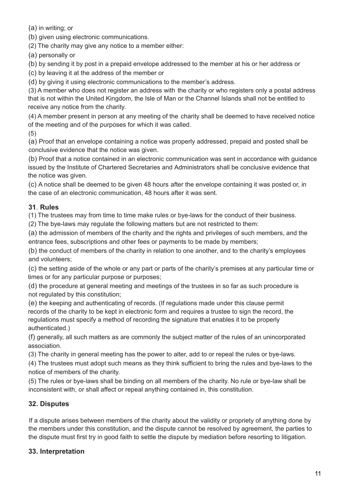(a) in writing; or

(b) given using electronic communications.

(2) The charity may give any notice to a member either:

(a) personally or

(b) by sending it by post in a prepaid envelope addressed to the member at his or her address or

(c) by leaving it at the address of the member or

(d) by giving it using electronic communications to the member's address.

(3) A member who does not register an address with the charity or who registers only a postal address that is not within the United Kingdom, the Isle of Man or the Channel Islands shall not be entitled to receive any notice from the charity.

(4) A member present in person at any meeting of the charity shall be deemed to have received notice of the meeting and of the purposes for which it was called.

(5)

(a) Proof that an envelope containing a notice was properly addressed, prepaid and posted shall be conclusive evidence that the notice was given.

(b) Proof that a notice contained in an electronic communication was sent in accordance with guidance issued by the Institute of Chartered Secretaries and Administrators shall be conclusive evidence that the notice was given.

(c) A notice shall be deemed to be given 48 hours after the envelope containing it was posted or, in the case of an electronic communication, 48 hours after it was sent.

## **31**. **Rules**

(1) The trustees may from time to time make rules or bye-laws for the conduct of their business.

(2) The bye-laws may regulate the following matters but are not restricted to them:

(a) the admission of members of the charity and the rights and privileges of such members, and the entrance fees, subscriptions and other fees or payments to be made by members;

(b) the conduct of members of the charity in relation to one another, and to the charity's employees and volunteers;

(c) the setting aside of the whole or any part or parts of the charity's premises at any particular time or times or for any particular purpose or purposes;

(d) the procedure at general meeting and meetings of the trustees in so far as such procedure is not regulated by this constitution;

(e) the keeping and authenticating of records. (If regulations made under this clause permit records of the charity to be kept in electronic form and requires a trustee to sign the record, the regulations must specify a method of recording the signature that enables it to be properly authenticated.)

(f) generally, all such matters as are commonly the subject matter of the rules of an unincorporated association.

(3) The charity in general meeting has the power to alter, add to or repeal the rules or bye-laws.

(4) The trustees must adopt such means as they think sufficient to bring the rules and bye-laws to the notice of members of the charity.

(5) The rules or bye-laws shall be binding on all members of the charity. No rule or bye-law shall be inconsistent with, or shall affect or repeal anything contained in, this constitution.

## **32. Disputes**

If a dispute arises between members of the charity about the validity or propriety of anything done by the members under this constitution, and the dispute cannot be resolved by agreement, the parties to the dispute must first try in good faith to settle the dispute by mediation before resorting to litigation.

## **33. Interpretation**